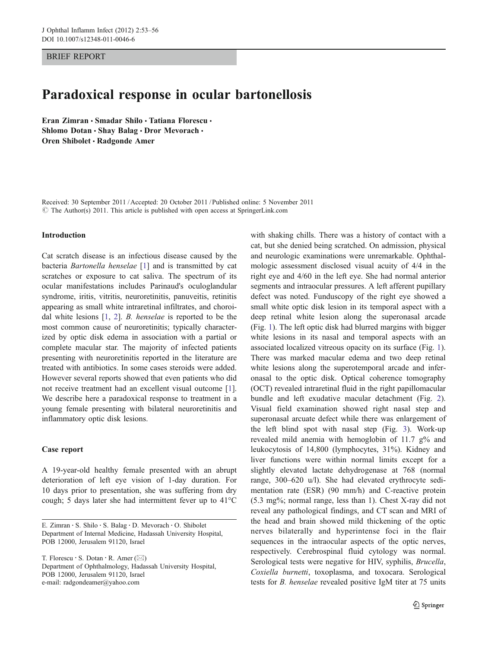BRIEF REPORT

# Paradoxical response in ocular bartonellosis

Eran Zimran · Smadar Shilo · Tatiana Florescu · Shlomo Dotan · Shay Balag · Dror Mevorach · Oren Shibolet · Radgonde Amer

Received: 30 September 2011 /Accepted: 20 October 2011 / Published online: 5 November 2011 © The Author(s) 2011. This article is published with open access at SpringerLink.com

#### Introduction

Cat scratch disease is an infectious disease caused by the bacteria Bartonella henselae [\[1](#page-3-0)] and is transmitted by cat scratches or exposure to cat saliva. The spectrum of its ocular manifestations includes Parinaud's oculoglandular syndrome, iritis, vitritis, neuroretinitis, panuveitis, retinitis appearing as small white intraretinal infiltrates, and choroidal white lesions [[1,](#page-3-0) [2\]](#page-3-0). B. henselae is reported to be the most common cause of neuroretinitis; typically characterized by optic disk edema in association with a partial or complete macular star. The majority of infected patients presenting with neuroretinitis reported in the literature are treated with antibiotics. In some cases steroids were added. However several reports showed that even patients who did not receive treatment had an excellent visual outcome [\[1](#page-3-0)]. We describe here a paradoxical response to treatment in a young female presenting with bilateral neuroretinitis and inflammatory optic disk lesions.

## Case report

A 19-year-old healthy female presented with an abrupt deterioration of left eye vision of 1-day duration. For 10 days prior to presentation, she was suffering from dry cough; 5 days later she had intermittent fever up to 41°C

T. Florescu · S. Dotan · R. Amer ( $\boxtimes$ ) Department of Ophthalmology, Hadassah University Hospital, POB 12000, Jerusalem 91120, Israel e-mail: radgondeamer@yahoo.com

with shaking chills. There was a history of contact with a cat, but she denied being scratched. On admission, physical and neurologic examinations were unremarkable. Ophthalmologic assessment disclosed visual acuity of 4/4 in the right eye and 4/60 in the left eye. She had normal anterior segments and intraocular pressures. A left afferent pupillary defect was noted. Funduscopy of the right eye showed a small white optic disk lesion in its temporal aspect with a deep retinal white lesion along the superonasal arcade (Fig. [1\)](#page-1-0). The left optic disk had blurred margins with bigger white lesions in its nasal and temporal aspects with an associated localized vitreous opacity on its surface (Fig. [1\)](#page-1-0). There was marked macular edema and two deep retinal white lesions along the superotemporal arcade and inferonasal to the optic disk. Optical coherence tomography (OCT) revealed intraretinal fluid in the right papillomacular bundle and left exudative macular detachment (Fig. [2\)](#page-1-0). Visual field examination showed right nasal step and superonasal arcuate defect while there was enlargement of the left blind spot with nasal step (Fig. [3\)](#page-2-0). Work-up revealed mild anemia with hemoglobin of 11.7 g% and leukocytosis of 14,800 (lymphocytes, 31%). Kidney and liver functions were within normal limits except for a slightly elevated lactate dehydrogenase at 768 (normal range, 300–620 u/l). She had elevated erythrocyte sedimentation rate (ESR) (90 mm/h) and C-reactive protein (5.3 mg%; normal range, less than 1). Chest X-ray did not reveal any pathological findings, and CT scan and MRI of the head and brain showed mild thickening of the optic nerves bilaterally and hyperintense foci in the flair sequences in the intraocular aspects of the optic nerves, respectively. Cerebrospinal fluid cytology was normal. Serological tests were negative for HIV, syphilis, Brucella, Coxiella burnetti, toxoplasma, and toxocara. Serological tests for B. henselae revealed positive IgM titer at 75 units

E. Zimran : S. Shilo : S. Balag : D. Mevorach : O. Shibolet Department of Internal Medicine, Hadassah University Hospital, POB 12000, Jerusalem 91120, Israel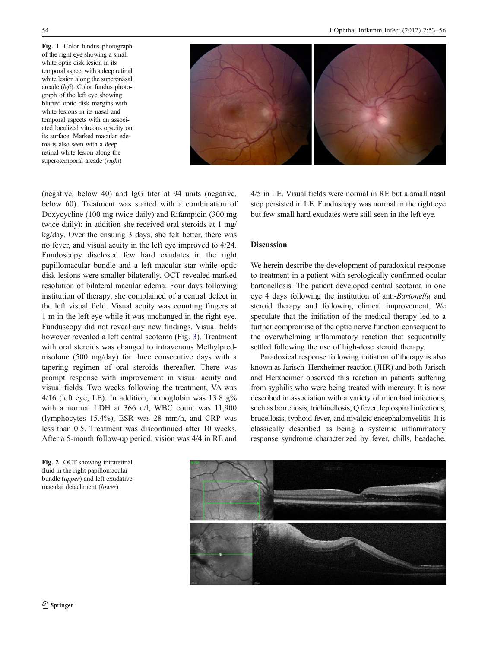<span id="page-1-0"></span>Fig. 1 Color fundus photograph of the right eye showing a small white optic disk lesion in its temporal aspect with a deep retinal white lesion along the superonasal arcade (left). Color fundus photograph of the left eye showing blurred optic disk margins with white lesions in its nasal and temporal aspects with an associated localized vitreous opacity on its surface. Marked macular edema is also seen with a deep retinal white lesion along the superotemporal arcade (right)



(negative, below 40) and IgG titer at 94 units (negative, below 60). Treatment was started with a combination of Doxycycline (100 mg twice daily) and Rifampicin (300 mg twice daily); in addition she received oral steroids at 1 mg/ kg/day. Over the ensuing 3 days, she felt better, there was no fever, and visual acuity in the left eye improved to 4/24. Fundoscopy disclosed few hard exudates in the right papillomacular bundle and a left macular star while optic disk lesions were smaller bilaterally. OCT revealed marked resolution of bilateral macular edema. Four days following institution of therapy, she complained of a central defect in the left visual field. Visual acuity was counting fingers at 1 m in the left eye while it was unchanged in the right eye. Funduscopy did not reveal any new findings. Visual fields however revealed a left central scotoma (Fig. [3](#page-2-0)). Treatment with oral steroids was changed to intravenous Methylprednisolone (500 mg/day) for three consecutive days with a tapering regimen of oral steroids thereafter. There was prompt response with improvement in visual acuity and visual fields. Two weeks following the treatment, VA was  $4/16$  (left eye; LE). In addition, hemoglobin was 13.8 g% with a normal LDH at 366 u/l, WBC count was 11,900 (lymphocytes 15.4%), ESR was 28 mm/h, and CRP was less than 0.5. Treatment was discontinued after 10 weeks. After a 5-month follow-up period, vision was 4/4 in RE and

Fig. 2 OCT showing intraretinal fluid in the right papillomacular bundle (upper) and left exudative macular detachment (lower)

4/5 in LE. Visual fields were normal in RE but a small nasal step persisted in LE. Funduscopy was normal in the right eye but few small hard exudates were still seen in the left eye.

## Discussion

We herein describe the development of paradoxical response to treatment in a patient with serologically confirmed ocular bartonellosis. The patient developed central scotoma in one eye 4 days following the institution of anti-Bartonella and steroid therapy and following clinical improvement. We speculate that the initiation of the medical therapy led to a further compromise of the optic nerve function consequent to the overwhelming inflammatory reaction that sequentially settled following the use of high-dose steroid therapy.

Paradoxical response following initiation of therapy is also known as Jarisch–Herxheimer reaction (JHR) and both Jarisch and Herxheimer observed this reaction in patients suffering from syphilis who were being treated with mercury. It is now described in association with a variety of microbial infections, such as borreliosis, trichinellosis, Q fever, leptospiral infections, brucellosis, typhoid fever, and myalgic encephalomyelitis. It is classically described as being a systemic inflammatory response syndrome characterized by fever, chills, headache,

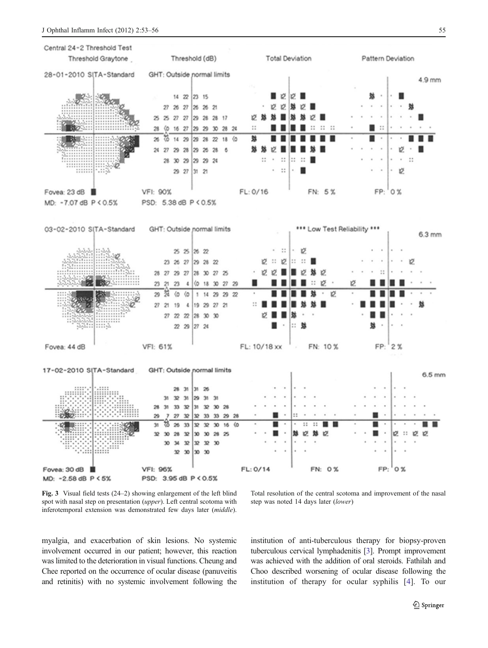<span id="page-2-0"></span>

Fig. 3 Visual field tests (24–2) showing enlargement of the left blind spot with nasal step on presentation (upper). Left central scotoma with inferotemporal extension was demonstrated few days later (middle).

Total resolution of the central scotoma and improvement of the nasal step was noted 14 days later (lower)

myalgia, and exacerbation of skin lesions. No systemic involvement occurred in our patient; however, this reaction was limited to the deterioration in visual functions. Cheung and Chee reported on the occurrence of ocular disease (panuveitis and retinitis) with no systemic involvement following the institution of anti-tuberculous therapy for biopsy-proven tuberculous cervical lymphadenitis [\[3\]](#page-3-0). Prompt improvement was achieved with the addition of oral steroids. Fathilah and Choo described worsening of ocular disease following the institution of therapy for ocular syphilis [\[4](#page-3-0)]. To our